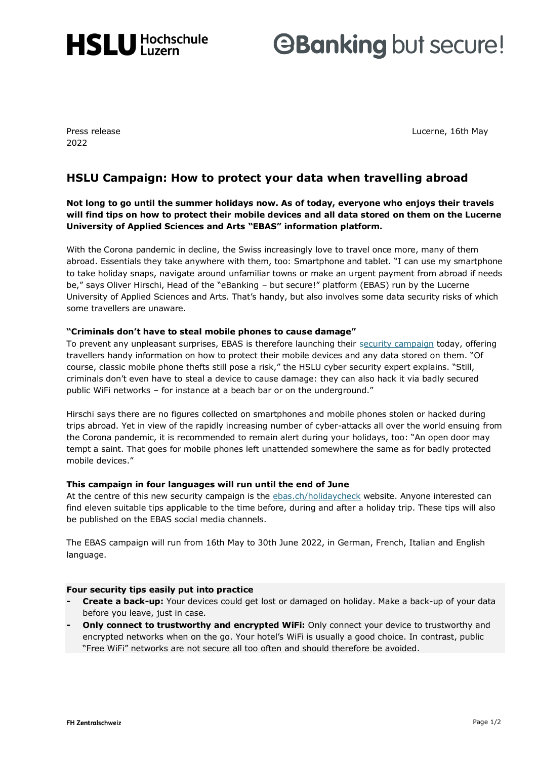

# **GBanking but secure!**

2022

Press release Lucerne, 16th May and the United States of the Lucerne, 16th May and the Lucerne, 16th May and the United States of the United States of the United States of the United States of the United States of the Unit

## **HSLU Campaign: How to protect your data when travelling abroad**

**Not long to go until the summer holidays now. As of today, everyone who enjoys their travels will find tips on how to protect their mobile devices and all data stored on them on the Lucerne University of Applied Sciences and Arts "EBAS" information platform.**

With the Corona pandemic in decline, the Swiss increasingly love to travel once more, many of them abroad. Essentials they take anywhere with them, too: Smartphone and tablet. "I can use my smartphone to take holiday snaps, navigate around unfamiliar towns or make an urgent payment from abroad if needs be," says Oliver Hirschi, Head of the "eBanking – but secure!" platform (EBAS) run by the Lucerne University of Applied Sciences and Arts. That's handy, but also involves some data security risks of which some travellers are unaware.

### **"Criminals don't have to steal mobile phones to cause damage"**

To prevent any unpleasant surprises, EBAS is therefore launching their [security campaign](https://www.ebas.ch/en/holidays-trips/) today, offering travellers handy information on how to protect their mobile devices and any data stored on them. "Of course, classic mobile phone thefts still pose a risk," the HSLU cyber security expert explains. "Still, criminals don't even have to steal a device to cause damage: they can also hack it via badly secured public WiFi networks – for instance at a beach bar or on the underground."

Hirschi says there are no figures collected on smartphones and mobile phones stolen or hacked during trips abroad. Yet in view of the rapidly increasing number of cyber-attacks all over the world ensuing from the Corona pandemic, it is recommended to remain alert during your holidays, too: "An open door may tempt a saint. That goes for mobile phones left unattended somewhere the same as for badly protected mobile devices."

### **This campaign in four languages will run until the end of June**

At the centre of this new security campaign is the [ebas.ch/holidaycheck](https://www.ebas.ch/en/holidays-trips/) website. Anyone interested can find eleven suitable tips applicable to the time before, during and after a holiday trip. These tips will also be published on the EBAS social media channels.

The EBAS campaign will run from 16th May to 30th June 2022, in German, French, Italian and English language.

### **Four security tips easily put into practice**

- **- Create a back-up:** Your devices could get lost or damaged on holiday. Make a back-up of your data before you leave, just in case.
- **Only connect to trustworthy and encrypted WiFi: Only connect your device to trustworthy and** encrypted networks when on the go. Your hotel's WiFi is usually a good choice. In contrast, public "Free WiFi" networks are not secure all too often and should therefore be avoided.